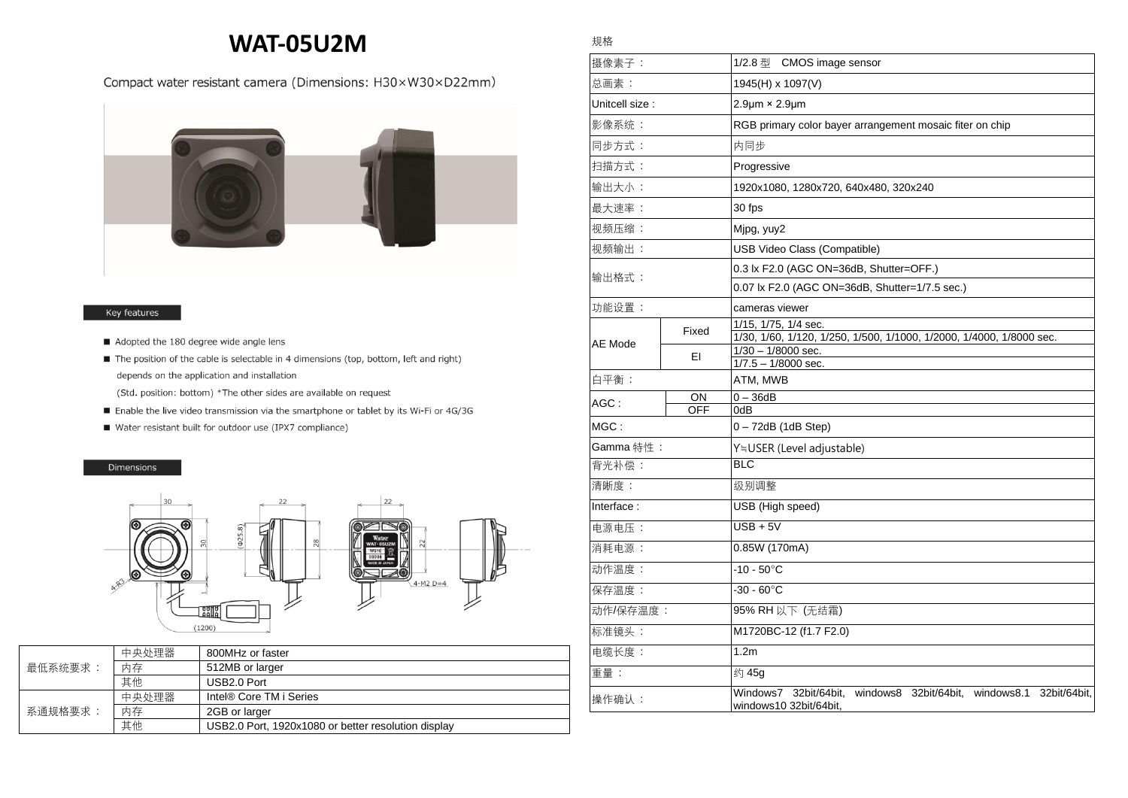# **WAT-05U2M**

### Compact water resistant camera (Dimensions: H30×W30×D22mm)



#### Key features

- Adopted the 180 degree wide angle lens
- The position of the cable is selectable in 4 dimensions (top, bottom, left and right) depends on the application and installation
	- (Std. position: bottom) \*The other sides are available on request
- Enable the live video transmission via the smartphone or tablet by its Wi-Fi or 4G/3G
- Water resistant built for outdoor use (IPX7 compliance)

#### Dimensions



| 最低系统要求: | 中央处理器 | 800MHz or faster                                    |
|---------|-------|-----------------------------------------------------|
|         | 内存    | 512MB or larger                                     |
|         | 其他    | USB <sub>2.0</sub> Port                             |
| 系通规格要求: | 中央处理器 | Intel® Core TM i Series                             |
|         | 内存    | 2GB or larger                                       |
|         | 其他    | USB2.0 Port, 1920x1080 or better resolution display |

## 规格

| 摄像素子:           |       | 1/2.8 $\frac{m}{2}$ CMOS image sensor                                                                  |
|-----------------|-------|--------------------------------------------------------------------------------------------------------|
| 总画素:            |       | 1945(H) x 1097(V)                                                                                      |
| Unitcell size : |       | $2.9 \mu m \times 2.9 \mu m$                                                                           |
| 影像系统:           |       | RGB primary color bayer arrangement mosaic fiter on chip                                               |
| 同步方式:           |       | 内同步                                                                                                    |
| 扫描方式:           |       | Progressive                                                                                            |
| 输出大小:           |       | 1920x1080, 1280x720, 640x480, 320x240                                                                  |
| 最大速率:           |       | 30 fps                                                                                                 |
| 视频压缩:           |       | Mjpg, yuy2                                                                                             |
| 视频输出:           |       | USB Video Class (Compatible)                                                                           |
| 输出格式:           |       | 0.3 lx F2.0 (AGC ON=36dB, Shutter=OFF.)                                                                |
|                 |       | 0.07 lx F2.0 (AGC ON=36dB, Shutter=1/7.5 sec.)                                                         |
| 功能设置:           |       | cameras viewer                                                                                         |
| AE Mode         |       | 1/15, 1/75, 1/4 sec.                                                                                   |
|                 | Fixed | 1/30, 1/60, 1/120, 1/250, 1/500, 1/1000, 1/2000, 1/4000, 1/8000 sec.                                   |
|                 | EI    | 1/30 - 1/8000 sec.                                                                                     |
|                 |       | $1/7.5 - 1/8000$ sec.                                                                                  |
| 白平衡:            |       | ATM, MWB                                                                                               |
| $AGC$ :         | ON    | $0-36dB$                                                                                               |
| <b>OFF</b>      |       | 0dB                                                                                                    |
| MGC:            |       | 0 – 72dB (1dB Step)                                                                                    |
| Gamma 特性:       |       | Y≒USER (Level adjustable)                                                                              |
| 背光补偿:           |       | <b>BLC</b>                                                                                             |
| 清晰度:            |       | 级别调整                                                                                                   |
| Interface:      |       | USB (High speed)                                                                                       |
| 电源电压:           |       | $USB + 5V$                                                                                             |
| 消耗电源:           |       | 0.85W (170mA)                                                                                          |
| 动作温度:           |       | $-10 - 50^{\circ}$ C                                                                                   |
| 保存温度:           |       | $-30 - 60^{\circ}$ C                                                                                   |
| 动作/保存温度:        |       | 95% RH 以下 (无结霜)                                                                                        |
| 标准镜头:           |       | M1720BC-12 (f1.7 F2.0)                                                                                 |
| 电缆长度:           |       | 1.2m                                                                                                   |
| 重量:             |       | 约 45g                                                                                                  |
| 操作确认:           |       | 32bit/64bit,<br>windows8 32bit/64bit, windows8.1<br>Windows7<br>32bit/64bit,<br>windows10 32bit/64bit, |